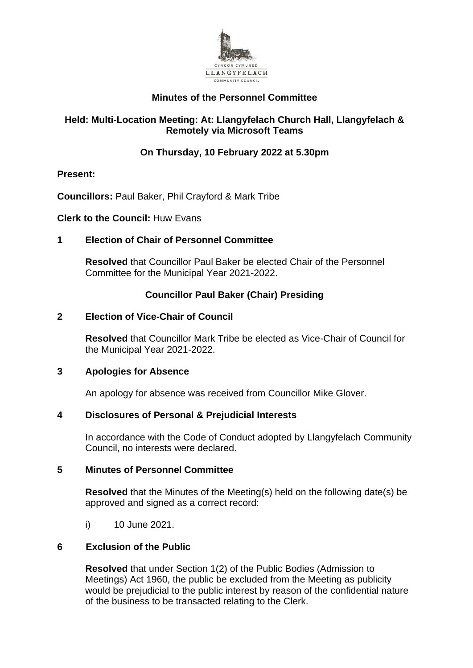

# **Minutes of the Personnel Committee**

# **Held: Multi-Location Meeting: At: Llangyfelach Church Hall, Llangyfelach & Remotely via Microsoft Teams**

# **On Thursday, 10 February 2022 at 5.30pm**

# **Present:**

**Councillors:** Paul Baker, Phil Crayford & Mark Tribe

**Clerk to the Council:** Huw Evans

# **1 Election of Chair of Personnel Committee**

**Resolved** that Councillor Paul Baker be elected Chair of the Personnel Committee for the Municipal Year 2021-2022.

# **Councillor Paul Baker (Chair) Presiding**

## **2 Election of Vice-Chair of Council**

**Resolved** that Councillor Mark Tribe be elected as Vice-Chair of Council for the Municipal Year 2021-2022.

## **3 Apologies for Absence**

An apology for absence was received from Councillor Mike Glover.

## **4 Disclosures of Personal & Prejudicial Interests**

In accordance with the Code of Conduct adopted by Llangyfelach Community Council, no interests were declared.

## **5 Minutes of Personnel Committee**

**Resolved** that the Minutes of the Meeting(s) held on the following date(s) be approved and signed as a correct record:

i) 10 June 2021.

## **6 Exclusion of the Public**

**Resolved** that under Section 1(2) of the Public Bodies (Admission to Meetings) Act 1960, the public be excluded from the Meeting as publicity would be prejudicial to the public interest by reason of the confidential nature of the business to be transacted relating to the Clerk.